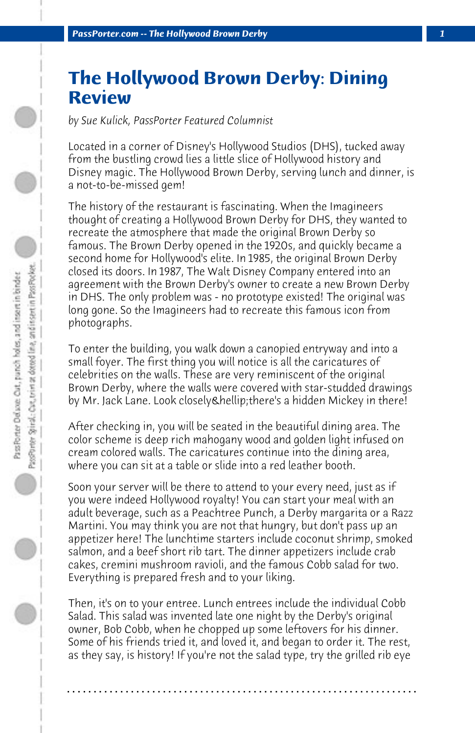## **The Hollywood Brown Derby: Dining Review**

*by Sue Kulick, PassPorter Featured Columnist*

Located in a corner of Disney's Hollywood Studios (DHS), tucked away from the bustling crowd lies a little slice of Hollywood history and Disney magic. The Hollywood Brown Derby, serving lunch and dinner, is a not-to-be-missed gem!

The history of the restaurant is fascinating. When the Imagineers thought of creating a Hollywood Brown Derby for DHS, they wanted to recreate the atmosphere that made the original Brown Derby so famous. The Brown Derby opened in the 1920s, and quickly became a second home for Hollywood's elite. In 1985, the original Brown Derby closed its doors. In 1987, The Walt Disney Company entered into an agreement with the Brown Derby's owner to create a new Brown Derby in DHS. The only problem was - no prototype existed! The original was long gone. So the Imagineers had to recreate this famous icon from photographs.

To enter the building, you walk down a canopied entryway and into a small foyer. The first thing you will notice is all the caricatures of celebrities on the walls. These are very reminiscent of the original Brown Derby, where the walls were covered with star-studded drawings by Mr. Jack Lane. Look closely & hellip; there's a hidden Mickey in there!

After checking in, you will be seated in the beautiful dining area. The color scheme is deep rich mahogany wood and golden light infused on cream colored walls. The caricatures continue into the dining area, where you can sit at a table or slide into a red leather booth.

Soon your server will be there to attend to your every need, just as if you were indeed Hollywood royalty! You can start your meal with an adult beverage, such as a Peachtree Punch, a Derby margarita or a Razz Martini. You may think you are not that hungry, but don't pass up an appetizer here! The lunchtime starters include coconut shrimp, smoked salmon, and a beef short rib tart. The dinner appetizers include crab cakes, cremini mushroom ravioli, and the famous Cobb salad for two. Everything is prepared fresh and to your liking.

Then, it's on to your entree. Lunch entrees include the individual Cobb Salad. This salad was invented late one night by the Derby's original owner, Bob Cobb, when he chopped up some leftovers for his dinner. Some of his friends tried it, and loved it, and began to order it. The rest, as they say, is history! If you're not the salad type, try the grilled rib eye

**. . . . . . . . . . . . . . . . . . . . . . . . . . . . . . . . . . . . . . . . . . . . . . . . . . . . . . . . . . . . . . . . . .**